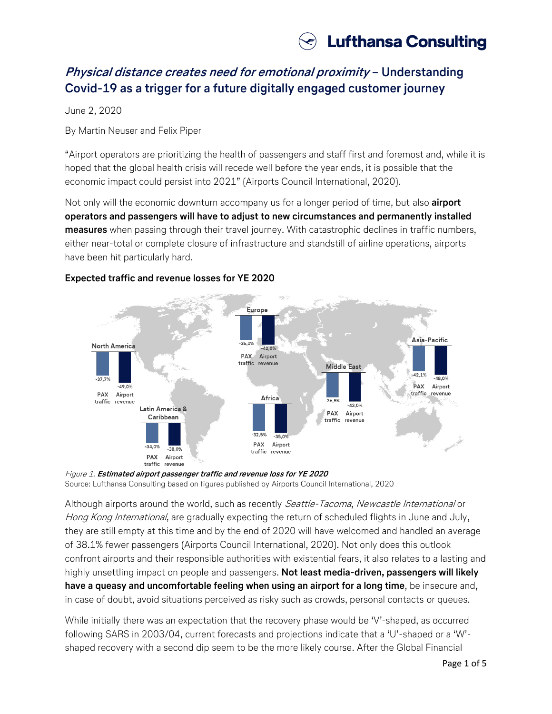

# **Physical distance creates need for emotional proximity – Understanding Covid-19 as a trigger for a future digitally engaged customer journey**

June 2, 2020

By Martin Neuser and Felix Piper

"Airport operators are prioritizing the health of passengers and staff first and foremost and, while it is hoped that the global health crisis will recede well before the year ends, it is possible that the economic impact could persist into 2021" (Airports Council International, 2020).

Not only will the economic downturn accompany us for a longer period of time, but also **airport operators and passengers will have to adjust to new circumstances and permanently installed measures** when passing through their travel journey. With catastrophic declines in traffic numbers, either near-total or complete closure of infrastructure and standstill of airline operations, airports have been hit particularly hard.



## **Expected traffic and revenue losses for YE 2020**

Although airports around the world, such as recently Seattle-Tacoma, Newcastle International or Hong Kong International, are gradually expecting the return of scheduled flights in June and July, they are still empty at this time and by the end of 2020 will have welcomed and handled an average of 38.1% fewer passengers (Airports Council International, 2020). Not only does this outlook confront airports and their responsible authorities with existential fears, it also relates to a lasting and highly unsettling impact on people and passengers. **Not least media-driven, passengers will likely have a queasy and uncomfortable feeling when using an airport for a long time**, be insecure and, in case of doubt, avoid situations perceived as risky such as crowds, personal contacts or queues.

While initially there was an expectation that the recovery phase would be 'V'-shaped, as occurred following SARS in 2003/04, current forecasts and projections indicate that a 'U'-shaped or a 'W' shaped recovery with a second dip seem to be the more likely course. After the Global Financial

Figure 1. **Estimated airport passenger traffic and revenue loss for YE 2020** Source: Lufthansa Consulting based on figures published by Airports Council International, 2020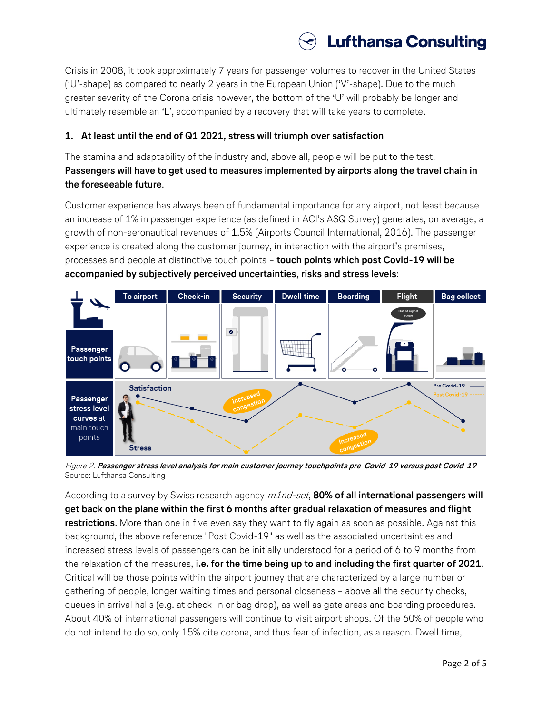

Crisis in 2008, it took approximately 7 years for passenger volumes to recover in the United States ('U'-shape) as compared to nearly 2 years in the European Union ('V'-shape). Due to the much greater severity of the Corona crisis however, the bottom of the 'U' will probably be longer and ultimately resemble an 'L', accompanied by a recovery that will take years to complete.

## **1. At least until the end of Q1 2021, stress will triumph over satisfaction**

The stamina and adaptability of the industry and, above all, people will be put to the test. **Passengers will have to get used to measures implemented by airports along the travel chain in the foreseeable future**.

Customer experience has always been of fundamental importance for any airport, not least because an increase of 1% in passenger experience (as defined in ACI's ASQ Survey) generates, on average, a growth of non-aeronautical revenues of 1.5% (Airports Council International, 2016). The passenger experience is created along the customer journey, in interaction with the airport's premises, processes and people at distinctive touch points – **touch points which post Covid-19 will be accompanied by subjectively perceived uncertainties, risks and stress levels**:



Figure 2. **Passenger stress level analysis for main customer journey touchpoints pre-Covid-19 versus post Covid-19** Source: Lufthansa Consulting

According to a survey by Swiss research agency  $m1nd$ -set, **80% of all international passengers will get back on the plane within the first 6 months after gradual relaxation of measures and flight restrictions**. More than one in five even say they want to fly again as soon as possible. Against this background, the above reference "Post Covid-19" as well as the associated uncertainties and increased stress levels of passengers can be initially understood for a period of 6 to 9 months from the relaxation of the measures, **i.e. for the time being up to and including the first quarter of 2021**. Critical will be those points within the airport journey that are characterized by a large number or gathering of people, longer waiting times and personal closeness – above all the security checks, queues in arrival halls (e.g. at check-in or bag drop), as well as gate areas and boarding procedures. About 40% of international passengers will continue to visit airport shops. Of the 60% of people who do not intend to do so, only 15% cite corona, and thus fear of infection, as a reason. Dwell time,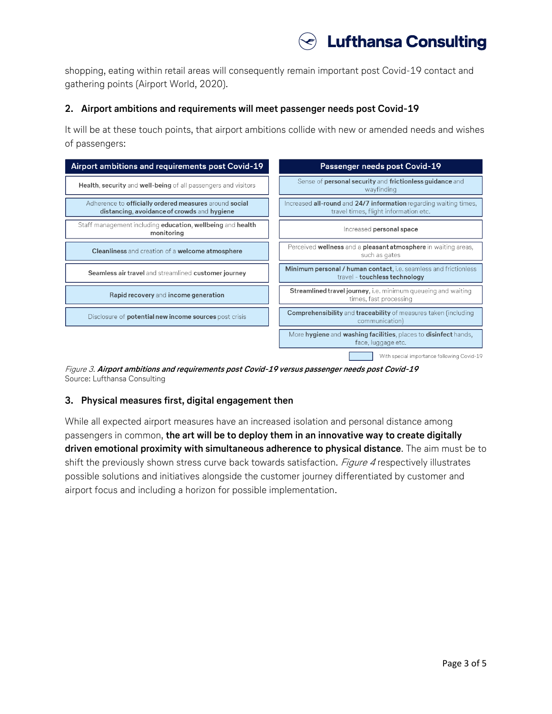

shopping, eating within retail areas will consequently remain important post Covid-19 contact and gathering points (Airport World, 2020).

#### **2. Airport ambitions and requirements will meet passenger needs post Covid-19**

It will be at these touch points, that airport ambitions collide with new or amended needs and wishes of passengers:



Figure 3. **Airport ambitions and requirements post Covid-19 versus passenger needs post Covid-19** Source: Lufthansa Consulting

#### **3. Physical measures first, digital engagement then**

While all expected airport measures have an increased isolation and personal distance among passengers in common, **the art will be to deploy them in an innovative way to create digitally driven emotional proximity with simultaneous adherence to physical distance**. The aim must be to shift the previously shown stress curve back towards satisfaction. *Figure 4* respectively illustrates possible solutions and initiatives alongside the customer journey differentiated by customer and airport focus and including a horizon for possible implementation.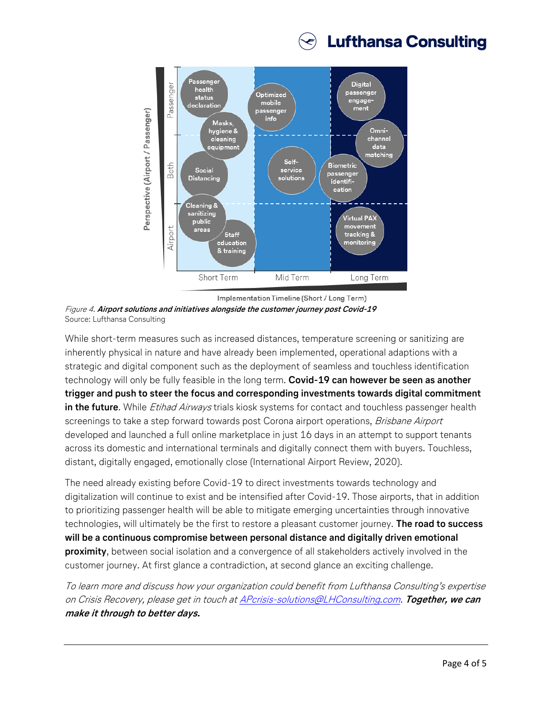



Implementation Timeline (Short / Long Term) Figure 4. **Airport solutions and initiatives alongside the customer journey post Covid-19** Source: Lufthansa Consulting

While short-term measures such as increased distances, temperature screening or sanitizing are inherently physical in nature and have already been implemented, operational adaptions with a strategic and digital component such as the deployment of seamless and touchless identification technology will only be fully feasible in the long term. **Covid-19 can however be seen as another trigger and push to steer the focus and corresponding investments towards digital commitment in the future**. While *Etihad Airways* trials kiosk systems for contact and touchless passenger health screenings to take a step forward towards post Corona airport operations, Brisbane Airport developed and launched a full online marketplace in just 16 days in an attempt to support tenants across its domestic and international terminals and digitally connect them with buyers. Touchless, distant, digitally engaged, emotionally close (International Airport Review, 2020).

The need already existing before Covid-19 to direct investments towards technology and digitalization will continue to exist and be intensified after Covid-19. Those airports, that in addition to prioritizing passenger health will be able to mitigate emerging uncertainties through innovative technologies, will ultimately be the first to restore a pleasant customer journey. **The road to success will be a continuous compromise between personal distance and digitally driven emotional proximity**, between social isolation and a convergence of all stakeholders actively involved in the customer journey. At first glance a contradiction, at second glance an exciting challenge.

To learn more and discuss how your organization could benefit from Lufthansa Consulting's expertise on Crisis Recovery, please get in touch a[t APcrisis-solutions@LHConsulting.com.](mailto:APcrisis-solutions@LHConsulting.com) **Together, we can make it through to better days.**